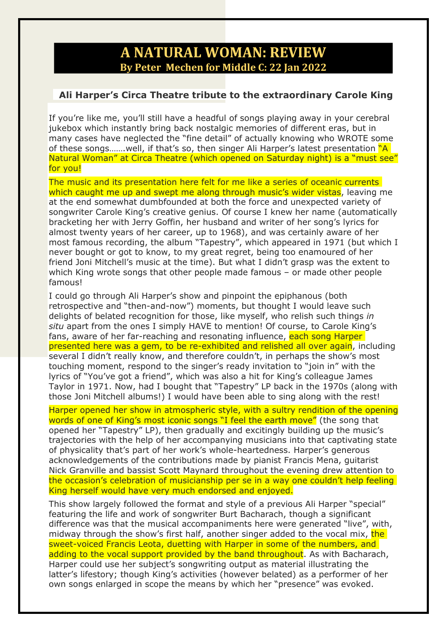## **A NATURAL WOMAN: REVIEW By Peter Mechen for Middle C: 22 Jan 2022**

#### **[Ali Harper's Circa Theatre tribute to the extraordinary Carole King](https://middle-c.org/2022/01/ali-harpers-circa-theatre-tribute-to-the-extraordinary-carole-king/)**

If you're like me, you'll still have a headful of songs playing away in your cerebral jukebox which instantly bring back nostalgic memories of different eras, but in many cases have neglected the "fine detail" of actually knowing who WROTE some of these songs.......well, if that's so, then singer Ali Harper's latest presentation "A Natural Woman" at Circa Theatre (which opened on Saturday night) is a "must see" for you!

The music and its presentation here felt for me like a series of oceanic currents which caught me up and swept me along through music's wider vistas, leaving me at the end somewhat dumbfounded at both the force and unexpected variety of songwriter Carole King's creative genius. Of course I knew her name (automatically bracketing her with Jerry Goffin, her husband and writer of her song's lyrics for almost twenty years of her career, up to 1968), and was certainly aware of her most famous recording, the album "Tapestry", which appeared in 1971 (but which I never bought or got to know, to my great regret, being too enamoured of her friend Joni Mitchell's music at the time). But what I didn't grasp was the extent to which King wrote songs that other people made famous – or made other people famous!

I could go through Ali Harper's show and pinpoint the epiphanous (both retrospective and "then-and-now") moments, but thought I would leave such delights of belated recognition for those, like myself, who relish such things *in situ* apart from the ones I simply HAVE to mention! Of course, to Carole King's fans, aware of her far-reaching and resonating influence, each song Harper presented here was a gem, to be re-exhibited and relished all over again, including several I didn't really know, and therefore couldn't, in perhaps the show's most touching moment, respond to the singer's ready invitation to "join in" with the lyrics of "You've got a friend", which was also a hit for King's colleague James Taylor in 1971. Now, had I bought that "Tapestry" LP back in the 1970s (along with those Joni Mitchell albums!) I would have been able to sing along with the rest!

Harper opened her show in atmospheric style, with a sultry rendition of the opening words of one of King's most iconic songs "I feel the earth move" (the song that opened her "Tapestry" LP), then gradually and excitingly building up the music's trajectories with the help of her accompanying musicians into that captivating state of physicality that's part of her work's whole-heartedness. Harper's generous acknowledgements of the contributions made by pianist Francis Mena, guitarist Nick Granville and bassist Scott Maynard throughout the evening drew attention to the occasion's celebration of musicianship per se in a way one couldn't help feeling King herself would have very much endorsed and enjoyed.

This show largely followed the format and style of a previous Ali Harper "special" featuring the life and work of songwriter Burt Bacharach, though a significant difference was that the musical accompaniments here were generated "live", with, midway through the show's first half, another singer added to the vocal mix, the sweet-voiced Francis Leota, duetting with Harper in some of the numbers, and adding to the vocal support provided by the band throughout. As with Bacharach, Harper could use her subject's songwriting output as material illustrating the latter's lifestory; though King's activities (however belated) as a performer of her own songs enlarged in scope the means by which her "presence" was evoked.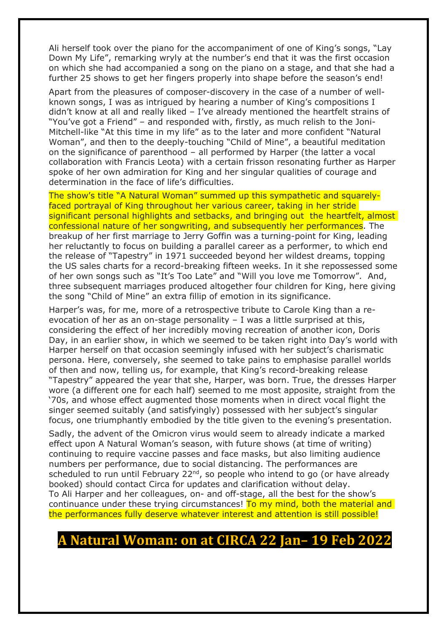Ali herself took over the piano for the accompaniment of one of King's songs, "Lay Down My Life", remarking wryly at the number's end that it was the first occasion on which she had accompanied a song on the piano on a stage, and that she had a further 25 shows to get her fingers properly into shape before the season's end!

Apart from the pleasures of composer-discovery in the case of a number of wellknown songs, I was as intrigued by hearing a number of King's compositions I didn't know at all and really liked – I've already mentioned the heartfelt strains of "You've got a Friend" – and responded with, firstly, as much relish to the Joni-Mitchell-like "At this time in my life" as to the later and more confident "Natural Woman", and then to the deeply-touching "Child of Mine", a beautiful meditation on the significance of parenthood – all performed by Harper (the latter a vocal collaboration with Francis Leota) with a certain frisson resonating further as Harper spoke of her own admiration for King and her singular qualities of courage and determination in the face of life's difficulties.

The show's title "A Natural Woman" summed up this sympathetic and squarelyfaced portrayal of King throughout her various career, taking in her stride significant personal highlights and setbacks, and bringing out the heartfelt, almost confessional nature of her songwriting, and subsequently her performances. The breakup of her first marriage to Jerry Goffin was a turning-point for King, leading her reluctantly to focus on building a parallel career as a performer, to which end the release of "Tapestry" in 1971 succeeded beyond her wildest dreams, topping the US sales charts for a record-breaking fifteen weeks. In it she repossessed some of her own songs such as "It's Too Late" and "Will you love me Tomorrow". And, three subsequent marriages produced altogether four children for King, here giving the song "Child of Mine" an extra fillip of emotion in its significance.

Harper's was, for me, more of a retrospective tribute to Carole King than a reevocation of her as an on-stage personality – I was a little surprised at this, considering the effect of her incredibly moving recreation of another icon, Doris Day, in an earlier show, in which we seemed to be taken right into Day's world with Harper herself on that occasion seemingly infused with her subject's charismatic persona. Here, conversely, she seemed to take pains to emphasise parallel worlds of then and now, telling us, for example, that King's record-breaking release "Tapestry" appeared the year that she, Harper, was born. True, the dresses Harper wore (a different one for each half) seemed to me most apposite, straight from the '70s, and whose effect augmented those moments when in direct vocal flight the singer seemed suitably (and satisfyingly) possessed with her subject's singular focus, one triumphantly embodied by the title given to the evening's presentation.

Sadly, the advent of the Omicron virus would seem to already indicate a marked effect upon A Natural Woman's season, with future shows (at time of writing) continuing to require vaccine passes and face masks, but also limiting audience numbers per performance, due to social distancing. The performances are scheduled to run until February  $22^{nd}$ , so people who intend to go (or have already booked) should contact Circa for updates and clarification without delay. To Ali Harper and her colleagues, on- and off-stage, all the best for the show's continuance under these trying circumstances! To my mind, both the material and the performances fully deserve whatever interest and attention is still possible!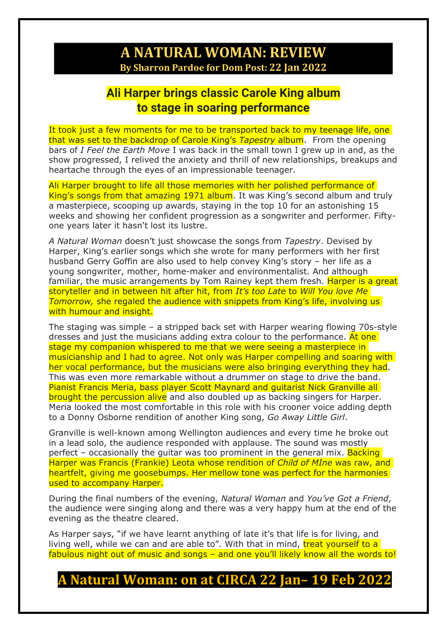#### **A NATURAL WOMAN: REVIEW By Sharron Pardoe for Dom Post: 22 Jan 2022**

#### **Ali Harper brings classic Carole King album to stage in soaring performance**

It took just a few moments for me to be transported back to my teenage life, one that was set to the backdrop of Carole King's *Tapestry* album. From the opening bars of *I Feel the Earth Move* I was back in the small town I grew up in and, as the show progressed, I relived the anxiety and thrill of new relationships, breakups and heartache through the eyes of an impressionable teenager.

Ali Harper brought to life all those memories with her polished performance of King's songs from that amazing 1971 album. It was King's second album and truly a masterpiece, scooping up awards, staying in the top 10 for an astonishing 15 weeks and showing her confident progression as a songwriter and performer. Fiftyone years later it hasn't lost its lustre.

*A Natural Woman* doesn't just showcase the songs from *Tapestry*. Devised by Harper, King's earlier songs which she wrote for many performers with her first husband Gerry Goffin are also used to help convey King's story – her life as a young songwriter, mother, home-maker and environmentalist. And although familiar, the music arrangements by Tom Rainey kept them fresh. Harper is a great storyteller and in between hit after hit, from *It's too Late* to *Will You love Me Tomorrow,* she regaled the audience with snippets from King's life, involving us with humour and insight.

The staging was simple – a stripped back set with Harper wearing flowing 70s-style dresses and just the musicians adding extra colour to the performance. At one stage my companion whispered to me that we were seeing a masterpiece in musicianship and I had to agree. Not only was Harper compelling and soaring with her vocal performance, but the musicians were also bringing everything they had. This was even more remarkable without a drummer on stage to drive the band. Pianist Francis Meria, bass player Scott Maynard and guitarist Nick Granville all brought the percussion alive and also doubled up as backing singers for Harper. Meria looked the most comfortable in this role with his crooner voice adding depth to a Donny Osborne rendition of another King song, *Go Away Little Girl*.

Granville is well-known among Wellington audiences and every time he broke out in a lead solo, the audience responded with applause. The sound was mostly perfect – occasionally the quitar was too prominent in the general mix. Backing Harper was Francis (Frankie) Leota whose rendition of *Child of MIne* was raw, and heartfelt, giving me goosebumps. Her mellow tone was perfect for the harmonies used to accompany Harper.

During the final numbers of the evening, *Natural Woman* and *You've Got a Friend*, the audience were singing along and there was a very happy hum at the end of the evening as the theatre cleared.

As Harper says, "if we have learnt anything of late it's that life is for living, and living well, while we can and are able to". With that in mind, treat yourself to a fabulous night out of music and songs – and one you'll likely know all the words to!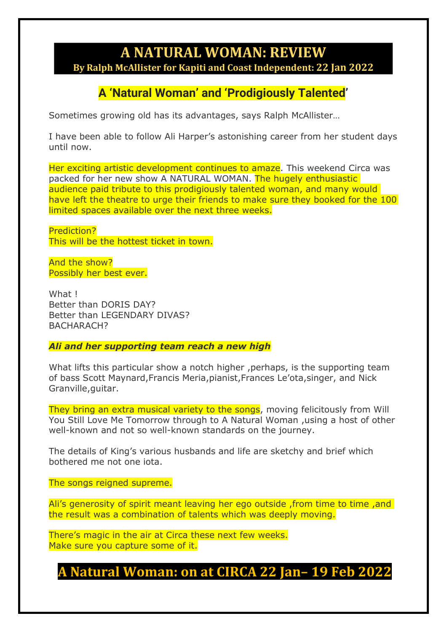## **A NATURAL WOMAN: REVIEW By Ralph McAllister for Kapiti and Coast Independent: 22 Jan 2022**

# **A 'Natural Woman' and 'Prodigiously Talented'**

Sometimes growing old has its advantages, says Ralph McAllister…

I have been able to follow Ali Harper's astonishing career from her student days until now.

Her exciting artistic development continues to amaze. This weekend Circa was packed for her new show A NATURAL WOMAN. The hugely enthusiastic audience paid tribute to this prodigiously talented woman, and many would have left the theatre to urge their friends to make sure they booked for the 100 limited spaces available over the next three weeks.

Prediction? This will be the hottest ticket in town.

And the show? Possibly her best ever.

What I Better than DORIS DAY? Better than LEGENDARY DIVAS? BACHARACH?

#### *Ali and her supporting team reach a new high*

What lifts this particular show a notch higher, perhaps, is the supporting team of bass Scott Maynard,Francis Meria,pianist,Frances Le'ota,singer, and Nick Granville,guitar.

They bring an extra musical variety to the songs, moving felicitously from Will You Still Love Me Tomorrow through to A Natural Woman ,using a host of other well-known and not so well-known standards on the journey.

The details of King's various husbands and life are sketchy and brief which bothered me not one iota.

The songs reigned supreme.

Ali's generosity of spirit meant leaving her ego outside, from time to time, and the result was a combination of talents which was deeply moving.

There's magic in the air at Circa these next few weeks. Make sure you capture some of it.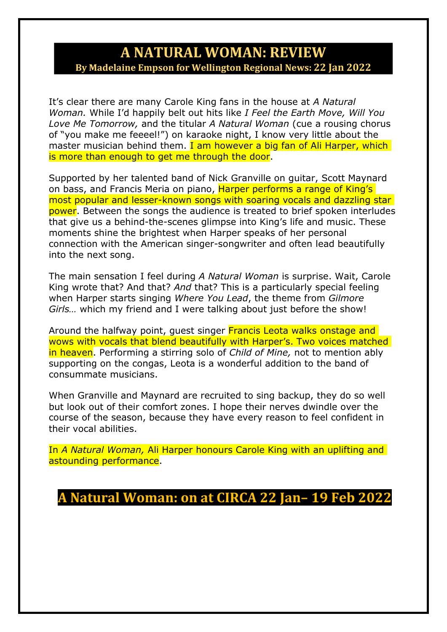#### **A NATURAL WOMAN: REVIEW By Madelaine Empson for Wellington Regional News: 22 Jan 2022**

It's clear there are many Carole King fans in the house at *A Natural Woman.* While I'd happily belt out hits like *I Feel the Earth Move, Will You Love Me Tomorrow,* and the titular *A Natural Woman* (cue a rousing chorus of "you make me feeeel!") on karaoke night, I know very little about the master musician behind them. I am however a big fan of Ali Harper, which is more than enough to get me through the door.

Supported by her talented band of Nick Granville on guitar, Scott Maynard on bass, and Francis Meria on piano, Harper performs a range of King's most popular and lesser-known songs with soaring vocals and dazzling star power. Between the songs the audience is treated to brief spoken interludes that give us a behind-the-scenes glimpse into King's life and music. These moments shine the brightest when Harper speaks of her personal connection with the American singer-songwriter and often lead beautifully into the next song.

The main sensation I feel during *A Natural Woman* is surprise. Wait, Carole King wrote that? And that? *And* that? This is a particularly special feeling when Harper starts singing *Where You Lead*, the theme from *Gilmore Girls…* which my friend and I were talking about just before the show!

Around the halfway point, quest singer Francis Leota walks onstage and wows with vocals that blend beautifully with Harper's. Two voices matched in heaven. Performing a stirring solo of *Child of Mine,* not to mention ably supporting on the congas, Leota is a wonderful addition to the band of consummate musicians.

When Granville and Maynard are recruited to sing backup, they do so well but look out of their comfort zones. I hope their nerves dwindle over the course of the season, because they have every reason to feel confident in their vocal abilities.

In *A Natural Woman,* Ali Harper honours Carole King with an uplifting and astounding performance.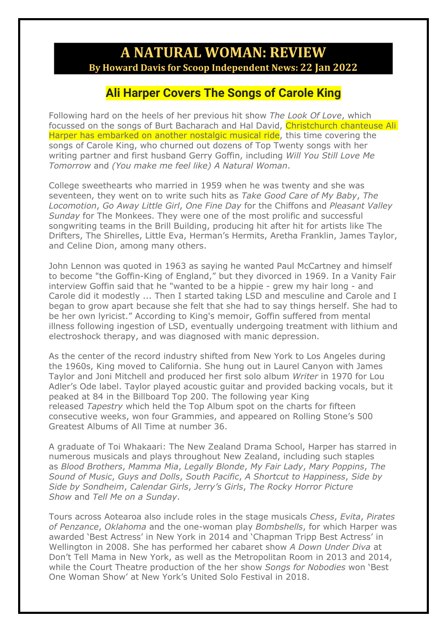### **A NATURAL WOMAN: REVIEW By Howard Davis for Scoop Independent News: 22 Jan 2022**

# **Ali Harper Covers The Songs of Carole King**

Following hard on the heels of her previous hit show *The Look Of Love*, which focussed on the songs of Burt Bacharach and Hal David, Christchurch chanteuse Ali Harper has embarked on another nostalgic musical ride, this time covering the songs of Carole King, who churned out dozens of Top Twenty songs with her writing partner and first husband Gerry Goffin, including *Will You Still Love Me Tomorrow* and *(You make me feel like) A Natural Woman*.

College sweethearts who married in 1959 when he was twenty and she was seventeen, they went on to write such hits as *Take Good Care of My Baby*, *The Locomotion*, *Go Away Little Girl*, *One Fine Day* for the Chiffons and *Pleasant Valley Sunday* for The Monkees. They were one of the most prolific and successful songwriting teams in the Brill Building, producing hit after hit for artists like The Drifters, The Shirelles, Little Eva, Herman's Hermits, Aretha Franklin, James Taylor, and Celine Dion, among many others.

John Lennon was quoted in 1963 as saying he wanted Paul McCartney and himself to become "the Goffin-King of England," but they divorced in 1969. In a Vanity Fair interview Goffin said that he "wanted to be a hippie - grew my hair long - and Carole did it modestly ... Then I started taking LSD and mesculine and Carole and I began to grow apart because she felt that she had to say things herself. She had to be her own lyricist." According to King's memoir, Goffin suffered from mental illness following ingestion of LSD, eventually undergoing treatment with lithium and electroshock therapy, and was diagnosed with manic depression.

As the center of the record industry shifted from New York to Los Angeles during the 1960s, King moved to California. She hung out in Laurel Canyon with James Taylor and Joni Mitchell and produced her first solo album *Writer* in 1970 for Lou Adler's Ode label. Taylor played acoustic guitar and provided backing vocals, but it peaked at 84 in the Billboard Top 200. The following year King released *Tapestry* which held the Top Album spot on the charts for fifteen consecutive weeks, won four Grammies, and appeared on Rolling Stone's 500 Greatest Albums of All Time at number 36.

A graduate of Toi Whakaari: The New Zealand Drama School, Harper has starred in numerous musicals and plays throughout New Zealand, including such staples as *Blood Brothers*, *Mamma Mia*, *Legally Blonde*, *My Fair Lady*, *Mary Poppins*, *The Sound of Music*, *Guys and Dolls*, *South Pacific*, *A Shortcut to Happiness*, *Side by Side by Sondheim*, *Calendar Girls*, *Jerry's Girls*, *The Rocky Horror Picture Show* and *Tell Me on a Sunday*.

Tours across Aotearoa also include roles in the stage musicals *Chess*, *Evita*, *Pirates of Penzance*, *Oklahoma* and the one-woman play *Bombshells*, for which Harper was awarded 'Best Actress' in New York in 2014 and 'Chapman Tripp Best Actress' in Wellington in 2008. She has performed her cabaret show *A Down Under Diva* at Don't Tell Mama in New York, as well as the Metropolitan Room in 2013 and 2014, while the Court Theatre production of the her show *Songs for Nobodies* won 'Best One Woman Show' at New York's United Solo Festival in 2018.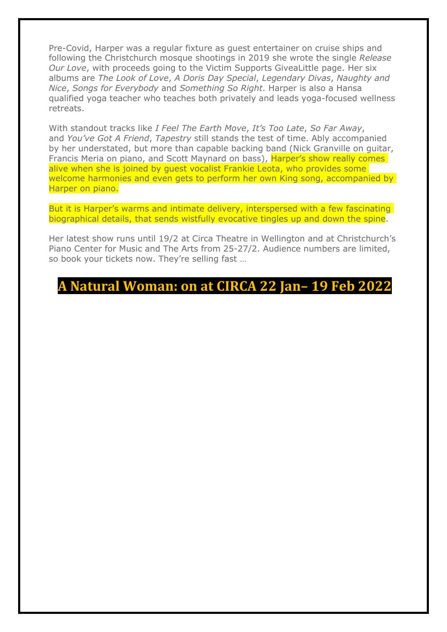Pre-Covid, Harper was a regular fixture as guest entertainer on cruise ships and following the Christchurch mosque shootings in 2019 she wrote the single *Release Our Love*, with proceeds going to the Victim Supports GiveaLittle page. Her six albums are *The Look of Love*, *A Doris Day Special*, *Legendary Divas*, *Naughty and Nice*, *Songs for Everybody* and *Something So Right*. Harper is also a Hansa qualified yoga teacher who teaches both privately and leads yoga-focused wellness retreats.

With standout tracks like *I Feel The Earth Move*, *It's Too Late*, *So Far Away*, and *You've Got A Friend*, *Tapestry* still stands the test of time. Ably accompanied by her understated, but more than capable backing band (Nick Granville on guitar, Francis Meria on piano, and Scott Maynard on bass), Harper's show really comes alive when she is joined by quest vocalist Frankie Leota, who provides some welcome harmonies and even gets to perform her own King song, accompanied by Harper on piano.

But it is Harper's warms and intimate delivery, interspersed with a few fascinating biographical details, that sends wistfully evocative tingles up and down the spine.

Her latest show runs until 19/2 at Circa Theatre in Wellington and at Christchurch's Piano Center for Music and The Arts from 25-27/2. Audience numbers are limited, so book your tickets now. They're selling fast …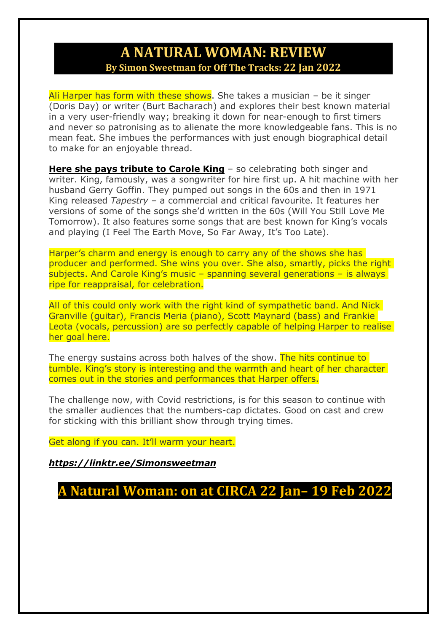### **A NATURAL WOMAN: REVIEW By Simon Sweetman for Off The Tracks: 22 Jan 2022**

Ali Harper has form with these shows. She takes a musician  $-$  be it singer (Doris Day) or writer (Burt Bacharach) and explores their best known material in a very user-friendly way; breaking it down for near-enough to first timers and never so patronising as to alienate the more knowledgeable fans. This is no mean feat. She imbues the performances with just enough biographical detail to make for an enjoyable thread.

**Here she pays [tribute](https://www.circa.co.nz/package/a-natural-woman/) to Carole King** – so celebrating both singer and writer. King, famously, was a songwriter for hire first up. A hit machine with her husband Gerry Goffin. They pumped out songs in the 60s and then in 1971 King released *Tapestry* – a commercial and critical favourite. It features her versions of some of the songs she'd written in the 60s (Will You Still Love Me Tomorrow). It also features some songs that are best known for King's vocals and playing (I Feel The Earth Move, So Far Away, It's Too Late).

Harper's charm and energy is enough to carry any of the shows she has producer and performed. She wins you over. She also, smartly, picks the right subjects. And Carole King's music - spanning several generations - is always ripe for reappraisal, for celebration.

All of this could only work with the right kind of sympathetic band. And Nick Granville (guitar), Francis Meria (piano), Scott Maynard (bass) and Frankie Leota (vocals, percussion) are so perfectly capable of helping Harper to realise her goal here.

The energy sustains across both halves of the show. The hits continue to tumble. King's story is interesting and the warmth and heart of her character comes out in the stories and performances that Harper offers.

The challenge now, with Covid restrictions, is for this season to continue with the smaller audiences that the numbers-cap dictates. Good on cast and crew for sticking with this brilliant show through trying times.

Get along if you can. It'll warm your heart.

#### *<https://linktr.ee/Simonsweetman>*